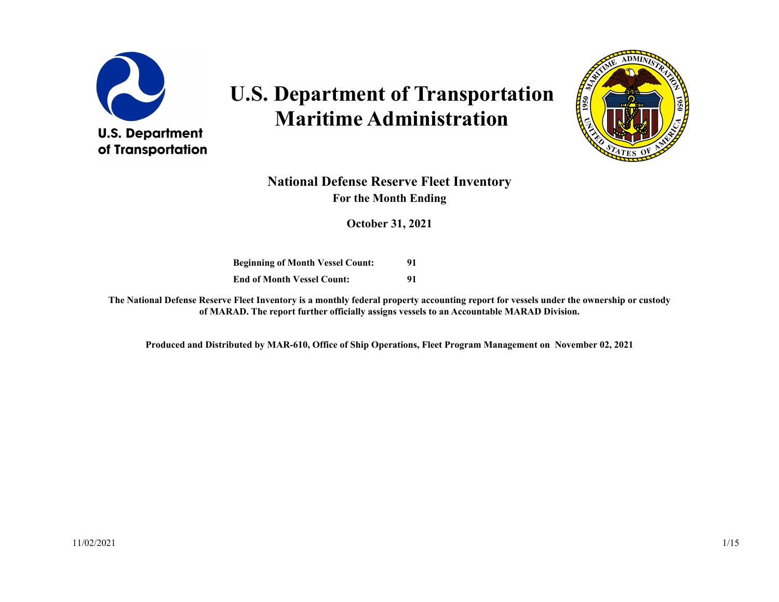

# **U.S. Department of Transportation Maritime Administration**



#### **National Defense Reserve Fleet Inventory For the Month Ending**

**October 31, 2021**

**Beginning of Month Vessel Count: 91 End of Month Vessel Count: 91**

**The National Defense Reserve Fleet Inventory is a monthly federal property accounting report for vessels under the ownership or custody of MARAD. The report further officially assigns vessels to an Accountable MARAD Division.**

**Produced and Distributed by MAR-610, Office of Ship Operations, Fleet Program Management on November 02, 2021**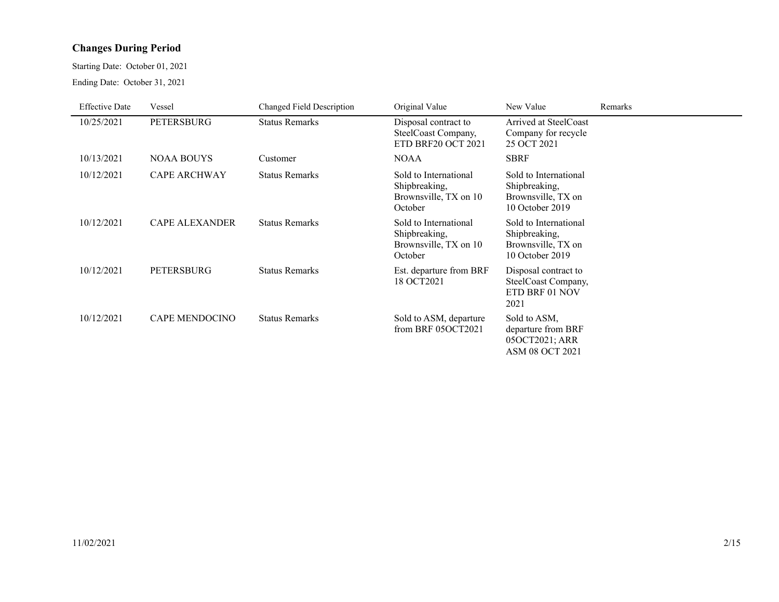#### **Changes During Period**

Starting Date: October 01, 2021

Ending Date: October 31, 2021

| <b>Effective Date</b> | Vessel                | Changed Field Description | Original Value                                                             | New Value                                                                       | Remarks |
|-----------------------|-----------------------|---------------------------|----------------------------------------------------------------------------|---------------------------------------------------------------------------------|---------|
| 10/25/2021            | <b>PETERSBURG</b>     | <b>Status Remarks</b>     | Disposal contract to<br>SteelCoast Company,<br>ETD BRF20 OCT 2021          | Arrived at SteelCoast<br>Company for recycle<br>25 OCT 2021                     |         |
| 10/13/2021            | <b>NOAA BOUYS</b>     | Customer                  | <b>NOAA</b>                                                                | <b>SBRF</b>                                                                     |         |
| 10/12/2021            | <b>CAPE ARCHWAY</b>   | <b>Status Remarks</b>     | Sold to International<br>Shipbreaking,<br>Brownsville, TX on 10<br>October | Sold to International<br>Shipbreaking,<br>Brownsville, TX on<br>10 October 2019 |         |
| 10/12/2021            | <b>CAPE ALEXANDER</b> | <b>Status Remarks</b>     | Sold to International<br>Shipbreaking,<br>Brownsville, TX on 10<br>October | Sold to International<br>Shipbreaking,<br>Brownsville, TX on<br>10 October 2019 |         |
| 10/12/2021            | <b>PETERSBURG</b>     | <b>Status Remarks</b>     | Est. departure from BRF<br>18 OCT2021                                      | Disposal contract to<br>SteelCoast Company,<br>ETD BRF 01 NOV<br>2021           |         |
| 10/12/2021            | <b>CAPE MENDOCINO</b> | <b>Status Remarks</b>     | Sold to ASM, departure<br>from BRF 05OCT2021                               | Sold to ASM,<br>departure from BRF<br>05OCT2021; ARR<br><b>ASM 08 OCT 2021</b>  |         |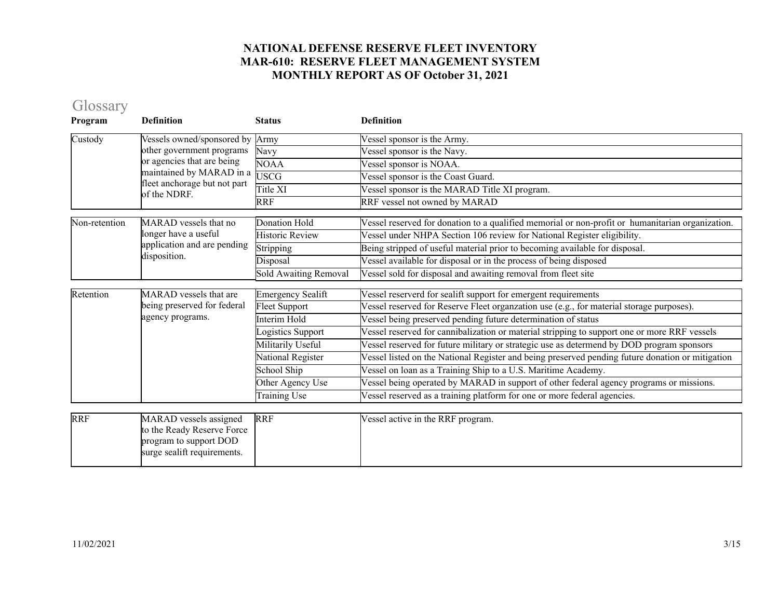## Glossary

| Program       | <b>Definition</b>                                                                                             | <b>Status</b>            | <b>Definition</b>                                                                                |
|---------------|---------------------------------------------------------------------------------------------------------------|--------------------------|--------------------------------------------------------------------------------------------------|
| Custody       | Vessels owned/sponsored by                                                                                    | Army                     | Vessel sponsor is the Army.                                                                      |
|               | other government programs                                                                                     | Navy                     | Vessel sponsor is the Navy.                                                                      |
|               | or agencies that are being                                                                                    | <b>NOAA</b>              | Vessel sponsor is NOAA.                                                                          |
|               | maintained by MARAD in a<br>fleet anchorage but not part                                                      | <b>USCG</b>              | Vessel sponsor is the Coast Guard.                                                               |
|               | of the NDRF.                                                                                                  | Title XI                 | Vessel sponsor is the MARAD Title XI program.                                                    |
|               |                                                                                                               | <b>RRF</b>               | RRF vessel not owned by MARAD                                                                    |
| Non-retention | MARAD vessels that no                                                                                         | <b>Donation Hold</b>     | Vessel reserved for donation to a qualified memorial or non-profit or humanitarian organization. |
|               | longer have a useful                                                                                          | <b>Historic Review</b>   | Vessel under NHPA Section 106 review for National Register eligibility.                          |
|               | application and are pending                                                                                   | Stripping                | Being stripped of useful material prior to becoming available for disposal.                      |
|               | disposition.                                                                                                  | Disposal                 | Vessel available for disposal or in the process of being disposed                                |
|               |                                                                                                               | Sold Awaiting Removal    | Vessel sold for disposal and awaiting removal from fleet site                                    |
| Retention     | MARAD vessels that are                                                                                        | <b>Emergency Sealift</b> | Vessel reserverd for sealift support for emergent requirements                                   |
|               | being preserved for federal                                                                                   | Fleet Support            | Vessel reserved for Reserve Fleet organzation use (e.g., for material storage purposes).         |
|               | agency programs.                                                                                              | Interim Hold             | Vessel being preserved pending future determination of status                                    |
|               |                                                                                                               | ogistics Support         | Vessel reserved for cannibalization or material stripping to support one or more RRF vessels     |
|               |                                                                                                               | Militarily Useful        | Vessel reserved for future military or strategic use as determend by DOD program sponsors        |
|               |                                                                                                               | National Register        | Vessel listed on the National Register and being preserved pending future donation or mitigation |
|               |                                                                                                               | School Ship              | Vessel on loan as a Training Ship to a U.S. Maritime Academy.                                    |
|               |                                                                                                               | Other Agency Use         | Vessel being operated by MARAD in support of other federal agency programs or missions.          |
|               |                                                                                                               | Training Use             | Vessel reserved as a training platform for one or more federal agencies.                         |
|               |                                                                                                               |                          |                                                                                                  |
| <b>RRF</b>    | MARAD vessels assigned<br>to the Ready Reserve Force<br>program to support DOD<br>surge sealift requirements. | <b>RRF</b>               | Vessel active in the RRF program.                                                                |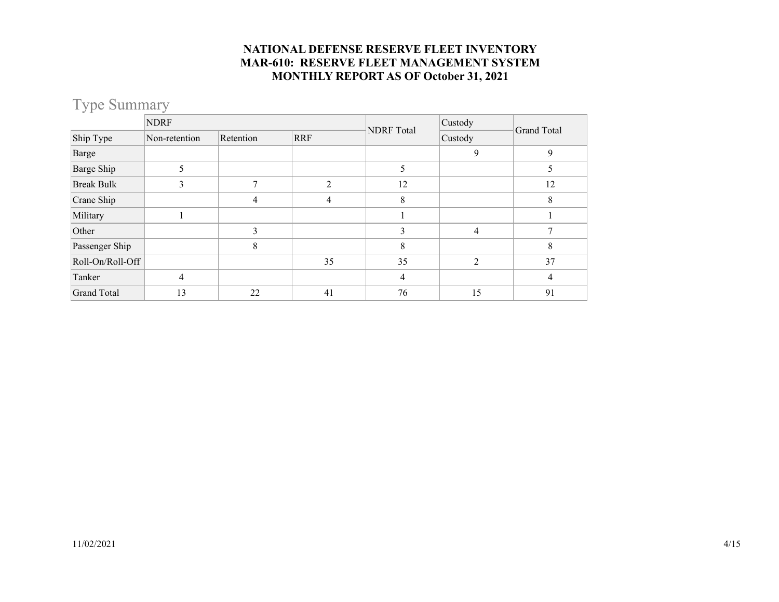### Type Summary

|                    | <b>NDRF</b>   |           |            |                   | Custody        | Grand Total |  |
|--------------------|---------------|-----------|------------|-------------------|----------------|-------------|--|
| Ship Type          | Non-retention | Retention | <b>RRF</b> | <b>NDRF</b> Total | Custody        |             |  |
| Barge              |               |           |            |                   | 9              | 9           |  |
| Barge Ship         | 5             |           |            | 5                 |                | ,           |  |
| <b>Break Bulk</b>  |               | 7         | C          | 12                |                | 12          |  |
| Crane Ship         |               | 4         | 4          | 8                 |                | 8           |  |
| Military           |               |           |            |                   |                |             |  |
| Other              |               | 3         |            | 3                 | $\overline{4}$ |             |  |
| Passenger Ship     |               | 8         |            | 8                 |                | 8           |  |
| Roll-On/Roll-Off   |               |           | 35         | 35                | $\overline{2}$ | 37          |  |
| Tanker             | 4             |           |            | 4                 |                | 4           |  |
| <b>Grand Total</b> | 13            | 22        | 41         | 76                | 15             | 91          |  |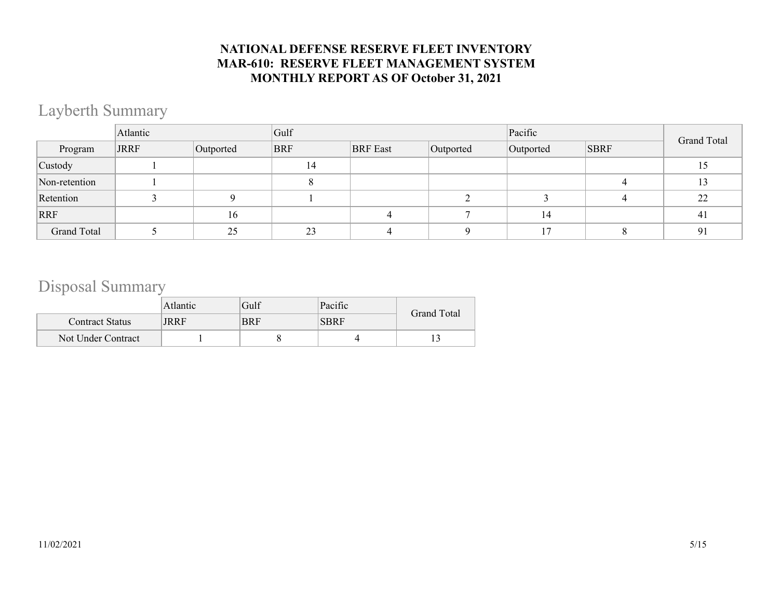# Layberth Summary

|                    | Atlantic    |           | Gulf       |                 |           | Pacific   | <b>Grand Total</b> |    |
|--------------------|-------------|-----------|------------|-----------------|-----------|-----------|--------------------|----|
| Program            | <b>JRRF</b> | Outported | <b>BRF</b> | <b>BRF</b> East | Outported | Outported | <b>SBRF</b>        |    |
| Custody            |             |           | 14         |                 |           |           |                    | 15 |
| Non-retention      |             |           |            |                 |           |           |                    | 13 |
| Retention          |             |           |            |                 |           |           |                    | 22 |
| RRF                |             | 16        |            |                 |           | 14        |                    | 41 |
| <b>Grand Total</b> |             | 25        | 23         |                 |           |           |                    | 91 |

## Disposal Summary

|                        | Atlantic | Gulf       | Pacific     | Grand Total |
|------------------------|----------|------------|-------------|-------------|
| <b>Contract Status</b> | JRRF     | <b>BRF</b> | <b>SBRF</b> |             |
| Not Under Contract     |          |            |             |             |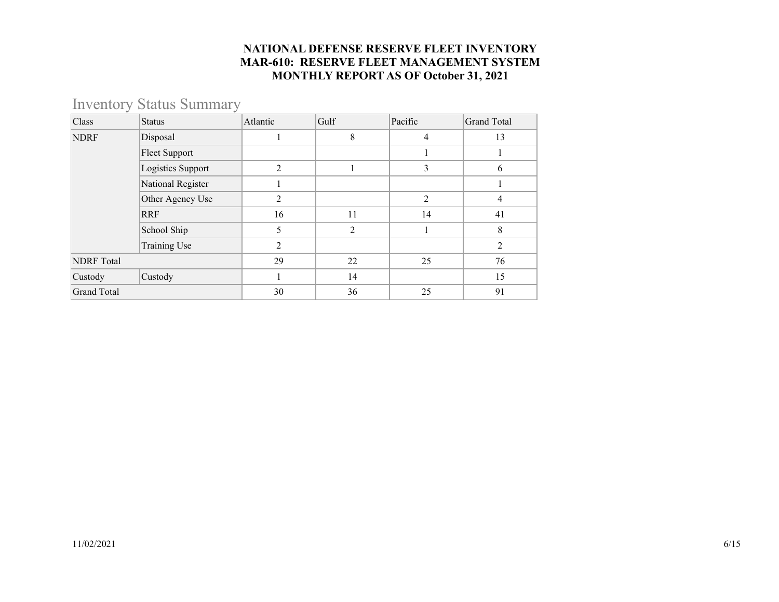### Inventory Status Summary

| Class              | <b>Status</b>        | Atlantic       | Gulf | Pacific        | <b>Grand Total</b> |
|--------------------|----------------------|----------------|------|----------------|--------------------|
| <b>NDRF</b>        | Disposal             |                | 8    | $\overline{4}$ | 13                 |
|                    | <b>Fleet Support</b> |                |      |                |                    |
|                    | Logistics Support    | $\overline{2}$ |      | 3              | 6                  |
|                    | National Register    |                |      |                |                    |
| Other Agency Use   |                      | 2              |      | $\overline{2}$ | 4                  |
|                    | <b>RRF</b>           | 16             | 11   | 14             | 41                 |
|                    | School Ship          | 5              | 2    |                | 8                  |
|                    | Training Use         | $\overline{2}$ |      |                | $\overline{2}$     |
| <b>NDRF</b> Total  |                      | 29             | 22   | 25             | 76                 |
| Custody            | Custody              |                | 14   |                | 15                 |
| <b>Grand Total</b> |                      | 30             | 36   | 25             | 91                 |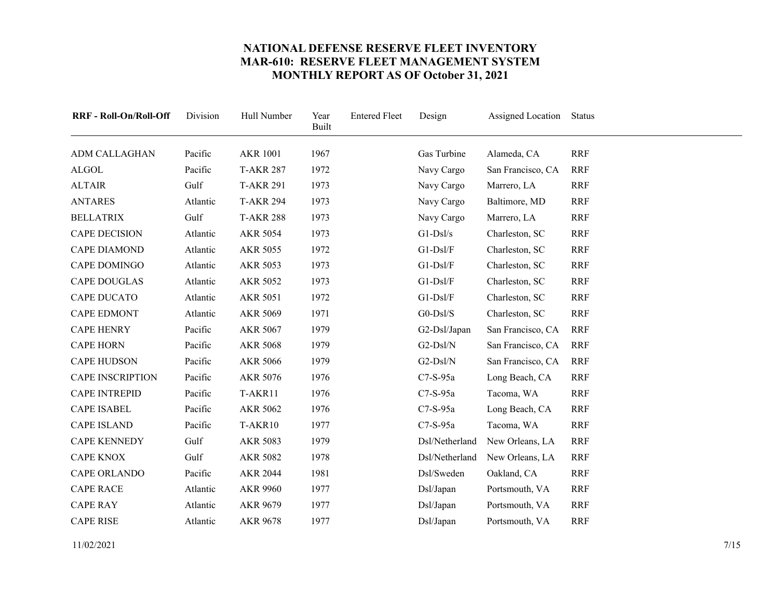<span id="page-6-23"></span><span id="page-6-22"></span><span id="page-6-21"></span><span id="page-6-20"></span><span id="page-6-19"></span><span id="page-6-18"></span><span id="page-6-17"></span><span id="page-6-16"></span><span id="page-6-15"></span><span id="page-6-14"></span><span id="page-6-13"></span><span id="page-6-12"></span><span id="page-6-11"></span><span id="page-6-10"></span><span id="page-6-9"></span><span id="page-6-8"></span><span id="page-6-7"></span><span id="page-6-6"></span><span id="page-6-5"></span><span id="page-6-4"></span><span id="page-6-3"></span><span id="page-6-2"></span><span id="page-6-1"></span><span id="page-6-0"></span>

| RRF - Roll-On/Roll-Off  | Division | Hull Number      | Year<br><b>Built</b> | <b>Entered Fleet</b> | Design         | Assigned Location | Status     |
|-------------------------|----------|------------------|----------------------|----------------------|----------------|-------------------|------------|
| <b>ADM CALLAGHAN</b>    | Pacific  | <b>AKR 1001</b>  | 1967                 |                      | Gas Turbine    | Alameda, CA       | <b>RRF</b> |
| <b>ALGOL</b>            | Pacific  | <b>T-AKR 287</b> | 1972                 |                      | Navy Cargo     | San Francisco, CA | <b>RRF</b> |
| <b>ALTAIR</b>           | Gulf     | <b>T-AKR 291</b> | 1973                 |                      | Navy Cargo     | Marrero, LA       | <b>RRF</b> |
| <b>ANTARES</b>          | Atlantic | <b>T-AKR 294</b> | 1973                 |                      | Navy Cargo     | Baltimore, MD     | <b>RRF</b> |
| <b>BELLATRIX</b>        | Gulf     | <b>T-AKR 288</b> | 1973                 |                      | Navy Cargo     | Marrero, LA       | <b>RRF</b> |
| <b>CAPE DECISION</b>    | Atlantic | <b>AKR 5054</b>  | 1973                 |                      | $G1-Ds1/s$     | Charleston, SC    | <b>RRF</b> |
| <b>CAPE DIAMOND</b>     | Atlantic | <b>AKR 5055</b>  | 1972                 |                      | $G1-Ds1/F$     | Charleston, SC    | <b>RRF</b> |
| CAPE DOMINGO            | Atlantic | <b>AKR 5053</b>  | 1973                 |                      | $G1-Ds1/F$     | Charleston, SC    | <b>RRF</b> |
| <b>CAPE DOUGLAS</b>     | Atlantic | <b>AKR 5052</b>  | 1973                 |                      | $G1-Ds1/F$     | Charleston, SC    | <b>RRF</b> |
| <b>CAPE DUCATO</b>      | Atlantic | <b>AKR 5051</b>  | 1972                 |                      | $G1-Ds1/F$     | Charleston, SC    | <b>RRF</b> |
| <b>CAPE EDMONT</b>      | Atlantic | <b>AKR 5069</b>  | 1971                 |                      | $G0-DsI/S$     | Charleston, SC    | <b>RRF</b> |
| <b>CAPE HENRY</b>       | Pacific  | AKR 5067         | 1979                 |                      | G2-Dsl/Japan   | San Francisco, CA | <b>RRF</b> |
| <b>CAPE HORN</b>        | Pacific  | <b>AKR 5068</b>  | 1979                 |                      | G2-Dsl/N       | San Francisco, CA | <b>RRF</b> |
| <b>CAPE HUDSON</b>      | Pacific  | <b>AKR 5066</b>  | 1979                 |                      | G2-Dsl/N       | San Francisco, CA | <b>RRF</b> |
| <b>CAPE INSCRIPTION</b> | Pacific  | AKR 5076         | 1976                 |                      | $C7-S-95a$     | Long Beach, CA    | <b>RRF</b> |
| <b>CAPE INTREPID</b>    | Pacific  | T-AKR11          | 1976                 |                      | $C7-S-95a$     | Tacoma, WA        | <b>RRF</b> |
| <b>CAPE ISABEL</b>      | Pacific  | <b>AKR 5062</b>  | 1976                 |                      | $C7-S-95a$     | Long Beach, CA    | <b>RRF</b> |
| <b>CAPE ISLAND</b>      | Pacific  | T-AKR10          | 1977                 |                      | $C7-S-95a$     | Tacoma, WA        | <b>RRF</b> |
| <b>CAPE KENNEDY</b>     | Gulf     | <b>AKR 5083</b>  | 1979                 |                      | Dsl/Netherland | New Orleans, LA   | <b>RRF</b> |
| <b>CAPE KNOX</b>        | Gulf     | <b>AKR 5082</b>  | 1978                 |                      | Dsl/Netherland | New Orleans, LA   | <b>RRF</b> |
| CAPE ORLANDO            | Pacific  | <b>AKR 2044</b>  | 1981                 |                      | Dsl/Sweden     | Oakland, CA       | <b>RRF</b> |
| <b>CAPE RACE</b>        | Atlantic | <b>AKR 9960</b>  | 1977                 |                      | Dsl/Japan      | Portsmouth, VA    | <b>RRF</b> |
| <b>CAPE RAY</b>         | Atlantic | AKR 9679         | 1977                 |                      | Dsl/Japan      | Portsmouth, VA    | <b>RRF</b> |
| <b>CAPE RISE</b>        | Atlantic | <b>AKR 9678</b>  | 1977                 |                      | Dsl/Japan      | Portsmouth, VA    | <b>RRF</b> |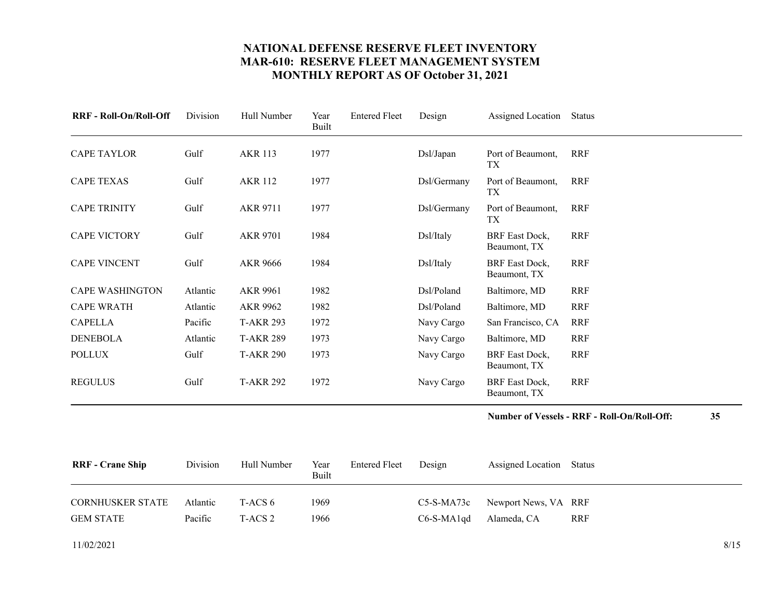<span id="page-7-4"></span><span id="page-7-3"></span><span id="page-7-2"></span><span id="page-7-1"></span><span id="page-7-0"></span>

| <b>RRF - Roll-On/Roll-Off</b> | Division | Hull Number      | Year<br>Built | <b>Entered Fleet</b> | Design      | Assigned Location                     | Status     |
|-------------------------------|----------|------------------|---------------|----------------------|-------------|---------------------------------------|------------|
| CAPE TAYLOR                   | Gulf     | <b>AKR 113</b>   | 1977          |                      | Ds1/Japan   | Port of Beaumont,<br>TX               | RRF        |
| <b>CAPE TEXAS</b>             | Gulf     | <b>AKR 112</b>   | 1977          |                      | Dsl/Germany | Port of Beaumont,<br>TX.              | <b>RRF</b> |
| <b>CAPE TRINITY</b>           | Gulf     | <b>AKR 9711</b>  | 1977          |                      | Dsl/Germany | Port of Beaumont,<br>TX               | <b>RRF</b> |
| <b>CAPE VICTORY</b>           | Gulf     | <b>AKR 9701</b>  | 1984          |                      | Dsl/Italy   | <b>BRF</b> East Dock,<br>Beaumont, TX | <b>RRF</b> |
| <b>CAPE VINCENT</b>           | Gulf     | <b>AKR 9666</b>  | 1984          |                      | Dsl/Italy   | <b>BRF</b> East Dock,<br>Beaumont, TX | <b>RRF</b> |
| <b>CAPE WASHINGTON</b>        | Atlantic | AKR 9961         | 1982          |                      | Dsl/Poland  | Baltimore, MD                         | <b>RRF</b> |
| <b>CAPE WRATH</b>             | Atlantic | AKR 9962         | 1982          |                      | Dsl/Poland  | Baltimore, MD                         | <b>RRF</b> |
| <b>CAPELLA</b>                | Pacific  | <b>T-AKR 293</b> | 1972          |                      | Navy Cargo  | San Francisco, CA                     | <b>RRF</b> |
| <b>DENEBOLA</b>               | Atlantic | <b>T-AKR 289</b> | 1973          |                      | Navy Cargo  | Baltimore, MD                         | <b>RRF</b> |
| <b>POLLUX</b>                 | Gulf     | <b>T-AKR 290</b> | 1973          |                      | Navy Cargo  | <b>BRF</b> East Dock,<br>Beaumont, TX | <b>RRF</b> |
| <b>REGULUS</b>                | Gulf     | <b>T-AKR 292</b> | 1972          |                      | Navy Cargo  | <b>BRF</b> East Dock,<br>Beaumont, TX | <b>RRF</b> |

**Number of Vessels - RRF - Roll-On/Roll-Off: 35**

<span id="page-7-12"></span><span id="page-7-11"></span><span id="page-7-9"></span><span id="page-7-8"></span><span id="page-7-7"></span><span id="page-7-6"></span><span id="page-7-5"></span>

| <b>RRF</b> - Crane Ship       | Division            | Hull Number        | Year<br>Built | <b>Entered Fleet</b> | Design       | Assigned Location Status                       |     |
|-------------------------------|---------------------|--------------------|---------------|----------------------|--------------|------------------------------------------------|-----|
| CORNHUSKER STATE<br>GEM STATE | Atlantic<br>Pacific | T-ACS 6<br>T-ACS 2 | 1969<br>1966  |                      | $C6-S-MA1qd$ | C5-S-MA73c Newport News, VA RRF<br>Alameda, CA | RRF |

<span id="page-7-10"></span>11/02/2021 8/15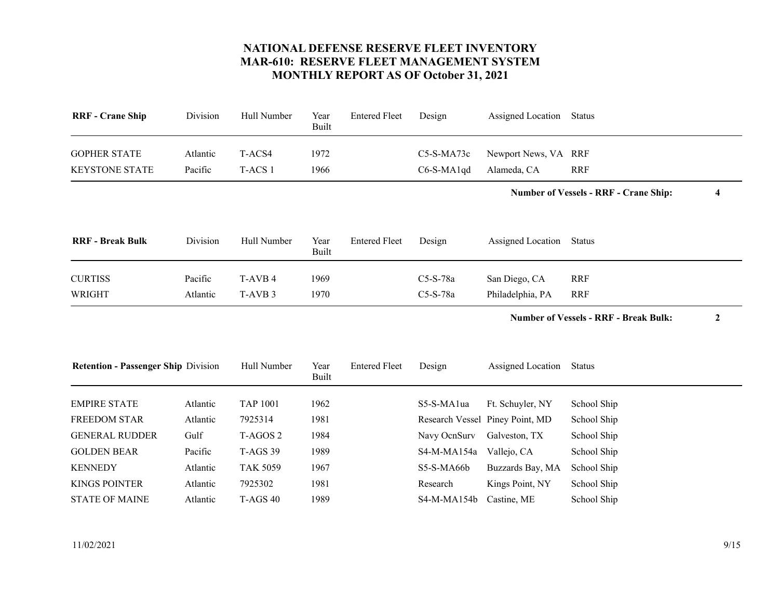<span id="page-8-10"></span><span id="page-8-9"></span><span id="page-8-8"></span><span id="page-8-7"></span><span id="page-8-6"></span><span id="page-8-5"></span><span id="page-8-4"></span><span id="page-8-3"></span><span id="page-8-2"></span><span id="page-8-1"></span><span id="page-8-0"></span>

| <b>RRF</b> - Crane Ship                    | Division | Hull Number         | Year<br><b>Built</b> | <b>Entered Fleet</b> | Design       | Assigned Location               | <b>Status</b>                                                    |  |
|--------------------------------------------|----------|---------------------|----------------------|----------------------|--------------|---------------------------------|------------------------------------------------------------------|--|
| <b>GOPHER STATE</b>                        | Atlantic | T-ACS4              | 1972                 |                      | C5-S-MA73c   | Newport News, VA RRF            |                                                                  |  |
| <b>KEYSTONE STATE</b>                      | Pacific  | T-ACS 1             | 1966                 |                      | C6-S-MA1qd   | Alameda, CA                     | <b>RRF</b>                                                       |  |
|                                            |          |                     |                      |                      |              |                                 | <b>Number of Vessels - RRF - Crane Ship:</b><br>4                |  |
| <b>RRF</b> - Break Bulk                    | Division | Hull Number         | Year<br><b>Built</b> | <b>Entered Fleet</b> | Design       | Assigned Location               | Status                                                           |  |
| <b>CURTISS</b>                             | Pacific  | T-AVB 4             | 1969                 |                      | C5-S-78a     | San Diego, CA                   | <b>RRF</b>                                                       |  |
| <b>WRIGHT</b>                              | Atlantic | T-AVB <sub>3</sub>  | 1970                 |                      | C5-S-78a     | Philadelphia, PA                | <b>RRF</b>                                                       |  |
|                                            |          |                     |                      |                      |              |                                 | <b>Number of Vessels - RRF - Break Bulk:</b><br>$\boldsymbol{2}$ |  |
|                                            |          |                     |                      |                      |              |                                 |                                                                  |  |
| <b>Retention - Passenger Ship Division</b> |          | Hull Number         | Year<br>Built        | <b>Entered Fleet</b> | Design       | Assigned Location               | <b>Status</b>                                                    |  |
| <b>EMPIRE STATE</b>                        | Atlantic | <b>TAP 1001</b>     | 1962                 |                      | S5-S-MA1ua   | Ft. Schuyler, NY                | School Ship                                                      |  |
| <b>FREEDOM STAR</b>                        | Atlantic | 7925314             | 1981                 |                      |              | Research Vessel Piney Point, MD | School Ship                                                      |  |
| <b>GENERAL RUDDER</b>                      | Gulf     | T-AGOS <sub>2</sub> | 1984                 |                      | Navy OcnSurv | Galveston, TX                   | School Ship                                                      |  |
| <b>GOLDEN BEAR</b>                         | Pacific  | <b>T-AGS 39</b>     | 1989                 |                      | S4-M-MA154a  | Vallejo, CA                     | School Ship                                                      |  |
| <b>KENNEDY</b>                             | Atlantic | <b>TAK 5059</b>     | 1967                 |                      | S5-S-MA66b   | Buzzards Bay, MA                | School Ship                                                      |  |
| <b>KINGS POINTER</b>                       | Atlantic | 7925302             | 1981                 |                      | Research     | Kings Point, NY                 | School Ship                                                      |  |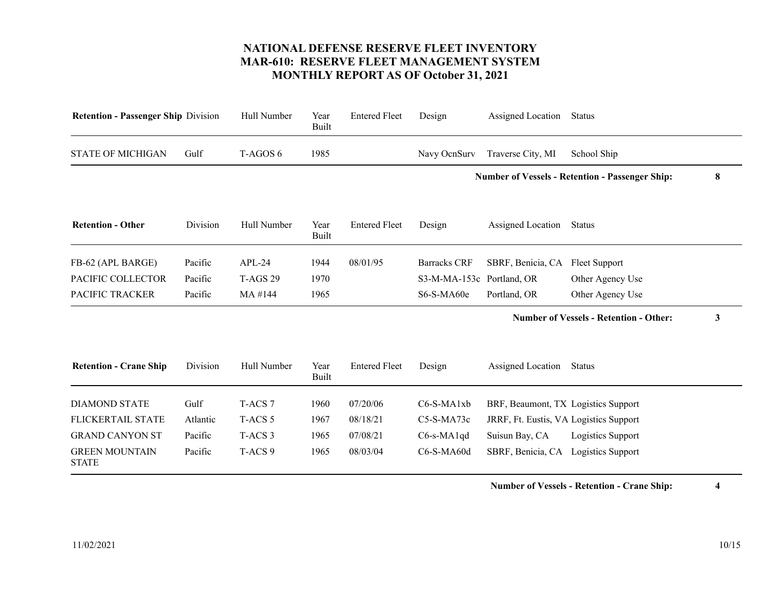<span id="page-9-7"></span><span id="page-9-6"></span><span id="page-9-5"></span><span id="page-9-4"></span><span id="page-9-3"></span><span id="page-9-2"></span><span id="page-9-1"></span><span id="page-9-0"></span>

| <b>Retention - Passenger Ship Division</b> |                    | Year<br>Built | <b>Entered Fleet</b> | Design              | Assigned Location | Status                    |                                                                                                                                                                                                               |
|--------------------------------------------|--------------------|---------------|----------------------|---------------------|-------------------|---------------------------|---------------------------------------------------------------------------------------------------------------------------------------------------------------------------------------------------------------|
| Gulf                                       | T-AGOS 6           | 1985          |                      | Navy OcnSurv        | Traverse City, MI | School Ship               |                                                                                                                                                                                                               |
|                                            |                    |               |                      |                     |                   |                           | 8                                                                                                                                                                                                             |
| Division                                   | Hull Number        | Year<br>Built | <b>Entered Fleet</b> | Design              | Assigned Location | <b>Status</b>             |                                                                                                                                                                                                               |
| Pacific                                    | $APL-24$           | 1944          | 08/01/95             | <b>Barracks CRF</b> | SBRF, Benicia, CA | <b>Fleet Support</b>      |                                                                                                                                                                                                               |
| Pacific                                    | <b>T-AGS 29</b>    | 1970          |                      |                     |                   | Other Agency Use          |                                                                                                                                                                                                               |
| Pacific                                    | MA #144            | 1965          |                      | S6-S-MA60e          | Portland, OR      | Other Agency Use          |                                                                                                                                                                                                               |
|                                            |                    |               |                      |                     |                   |                           | 3                                                                                                                                                                                                             |
| Division                                   | Hull Number        | Year<br>Built | <b>Entered Fleet</b> | Design              | Assigned Location | <b>Status</b>             |                                                                                                                                                                                                               |
| Gulf                                       | T-ACS <sub>7</sub> | 1960          | 07/20/06             | C6-S-MA1xb          |                   |                           |                                                                                                                                                                                                               |
| Atlantic                                   | T-ACS <sub>5</sub> | 1967          | 08/18/21             | $C5-S-MA73c$        |                   |                           |                                                                                                                                                                                                               |
| Pacific                                    | T-ACS <sub>3</sub> | 1965          | 07/08/21             | $C6$ -s-MA1qd       | Suisun Bay, CA    | Logistics Support         |                                                                                                                                                                                                               |
| Pacific                                    | T-ACS <sub>9</sub> | 1965          | 08/03/04             | C6-S-MA60d          |                   | Logistics Support         |                                                                                                                                                                                                               |
|                                            |                    | Hull Number   |                      |                     |                   | S3-M-MA-153c Portland, OR | <b>Number of Vessels - Retention - Passenger Ship:</b><br><b>Number of Vessels - Retention - Other:</b><br>BRF, Beaumont, TX Logistics Support<br>JRRF, Ft. Eustis, VA Logistics Support<br>SBRF, Benicia, CA |

**Number of Vessels - Retention - Crane Ship: 4**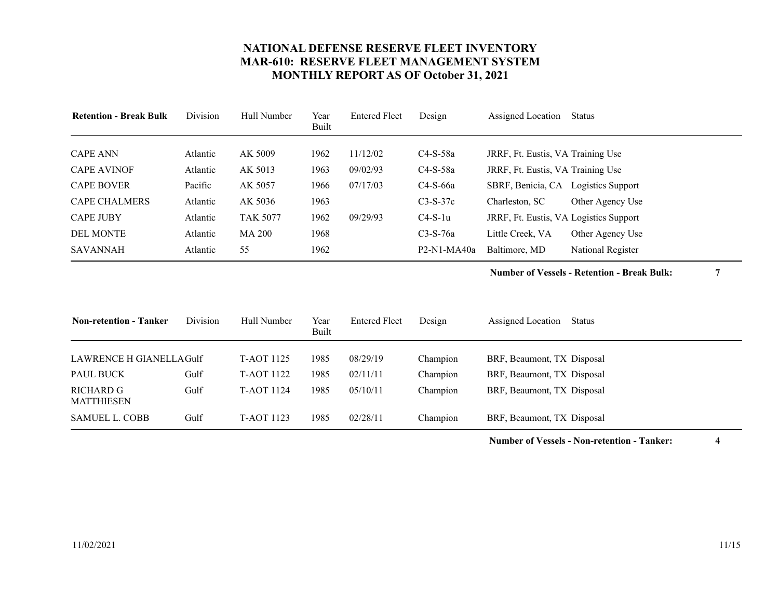<span id="page-10-3"></span><span id="page-10-2"></span><span id="page-10-1"></span><span id="page-10-0"></span>

| <b>Retention - Break Bulk</b> | Division | Hull Number     | Year<br>Built | <b>Entered Fleet</b> | Design        | Assigned Location                      | Status                   |
|-------------------------------|----------|-----------------|---------------|----------------------|---------------|----------------------------------------|--------------------------|
| <b>CAPE ANN</b>               |          | AK 5009         |               | 11/12/02             | $C4-S-58a$    |                                        |                          |
|                               | Atlantic |                 | 1962          |                      |               | JRRF, Ft. Eustis, VA Training Use      |                          |
| <b>CAPE AVINOF</b>            | Atlantic | AK 5013         | 1963          | 09/02/93             | $C4-S-58a$    | JRRF, Ft. Eustis, VA Training Use      |                          |
| <b>CAPE BOVER</b>             | Pacific  | AK 5057         | 1966          | 07/17/03             | $C4-S-66a$    | SBRF, Benicia, CA                      | <b>Logistics Support</b> |
| <b>CAPE CHALMERS</b>          | Atlantic | AK 5036         | 1963          |                      | $C3-S-37c$    | Charleston, SC                         | Other Agency Use         |
| <b>CAPE JUBY</b>              | Atlantic | <b>TAK 5077</b> | 1962          | 09/29/93             | $C4-S-1u$     | JRRF, Ft. Eustis, VA Logistics Support |                          |
| <b>DEL MONTE</b>              | Atlantic | <b>MA 200</b>   | 1968          |                      | $C3-S-76a$    | Little Creek, VA                       | Other Agency Use         |
| SAVANNAH                      | Atlantic | 55              | 1962          |                      | $P2-N1-MA40a$ | Baltimore, MD                          | National Register        |

**Number of Vessels - Retention - Break Bulk: 7**

<span id="page-10-10"></span><span id="page-10-9"></span><span id="page-10-8"></span><span id="page-10-7"></span><span id="page-10-6"></span><span id="page-10-5"></span><span id="page-10-4"></span>

| <b>Non-retention - Tanker</b>               | Division | Hull Number              | Year<br>Built | <b>Entered Fleet</b> | Design               | Assigned Location<br>Status                              |
|---------------------------------------------|----------|--------------------------|---------------|----------------------|----------------------|----------------------------------------------------------|
| LAWRENCE H GIANELLAGulf<br><b>PAUL BUCK</b> | Gulf     | T-AOT 1125<br>T-AOT 1122 | 1985<br>1985  | 08/29/19<br>02/11/11 | Champion<br>Champion | BRF, Beaumont, TX Disposal<br>BRF, Beaumont, TX Disposal |
| RICHARD G<br>MATTHIESEN                     | Gulf     | <b>T-AOT 1124</b>        | 1985          | 05/10/11             | Champion             | BRF, Beaumont, TX Disposal                               |
| <b>SAMUEL L. COBB</b>                       | Gulf     | <b>T-AOT 1123</b>        | 1985          | 02/28/11             | Champion             | BRF, Beaumont, TX Disposal                               |

**Number of Vessels - Non-retention - Tanker: 4**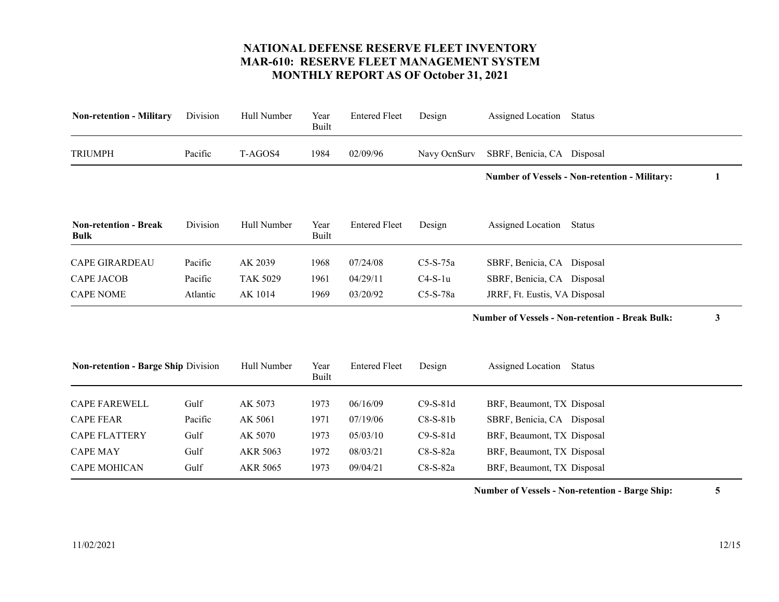<span id="page-11-8"></span><span id="page-11-7"></span><span id="page-11-6"></span><span id="page-11-5"></span><span id="page-11-4"></span><span id="page-11-3"></span><span id="page-11-2"></span><span id="page-11-1"></span><span id="page-11-0"></span>

| <b>Non-retention - Military</b>             | Division | Hull Number     | Year<br><b>Built</b> | <b>Entered Fleet</b> | Design       | Assigned Location             | <b>Status</b>                                          |   |
|---------------------------------------------|----------|-----------------|----------------------|----------------------|--------------|-------------------------------|--------------------------------------------------------|---|
| <b>TRIUMPH</b>                              | Pacific  | T-AGOS4         | 1984                 | 02/09/96             | Navy OcnSurv | SBRF, Benicia, CA Disposal    |                                                        |   |
|                                             |          |                 |                      |                      |              |                               | <b>Number of Vessels - Non-retention - Military:</b>   | 1 |
| <b>Non-retention - Break</b><br><b>Bulk</b> | Division | Hull Number     | Year<br><b>Built</b> | <b>Entered Fleet</b> | Design       | Assigned Location             | <b>Status</b>                                          |   |
| <b>CAPE GIRARDEAU</b>                       | Pacific  | AK 2039         | 1968                 | 07/24/08             | $C5-S-75a$   | SBRF, Benicia, CA Disposal    |                                                        |   |
| <b>CAPE JACOB</b>                           | Pacific  | <b>TAK 5029</b> | 1961                 | 04/29/11             | $C4-S-1u$    | SBRF, Benicia, CA Disposal    |                                                        |   |
| <b>CAPE NOME</b>                            | Atlantic | AK 1014         | 1969                 | 03/20/92             | C5-S-78a     | JRRF, Ft. Eustis, VA Disposal |                                                        |   |
|                                             |          |                 |                      |                      |              |                               | <b>Number of Vessels - Non-retention - Break Bulk:</b> | 3 |
| Non-retention - Barge Ship Division         |          | Hull Number     | Year<br><b>Built</b> | <b>Entered Fleet</b> | Design       | Assigned Location             | Status                                                 |   |
| <b>CAPE FAREWELL</b>                        | Gulf     | AK 5073         | 1973                 | 06/16/09             | $C9-S-81d$   | BRF, Beaumont, TX Disposal    |                                                        |   |
| <b>CAPE FEAR</b>                            | Pacific  | AK 5061         | 1971                 | 07/19/06             | $C8-S-81b$   | SBRF, Benicia, CA Disposal    |                                                        |   |
| <b>CAPE FLATTERY</b>                        | Gulf     | AK 5070         | 1973                 | 05/03/10             | $C9-S-81d$   | BRF, Beaumont, TX Disposal    |                                                        |   |
| <b>CAPE MAY</b>                             | Gulf     | AKR 5063        | 1972                 | 08/03/21             | $C8-S-82a$   | BRF, Beaumont, TX Disposal    |                                                        |   |
| <b>CAPE MOHICAN</b>                         | Gulf     | AKR 5065        | 1973                 | 09/04/21             | $C8-S-82a$   | BRF, Beaumont, TX Disposal    |                                                        |   |

**Number of Vessels - Non-retention - Barge Ship: 5**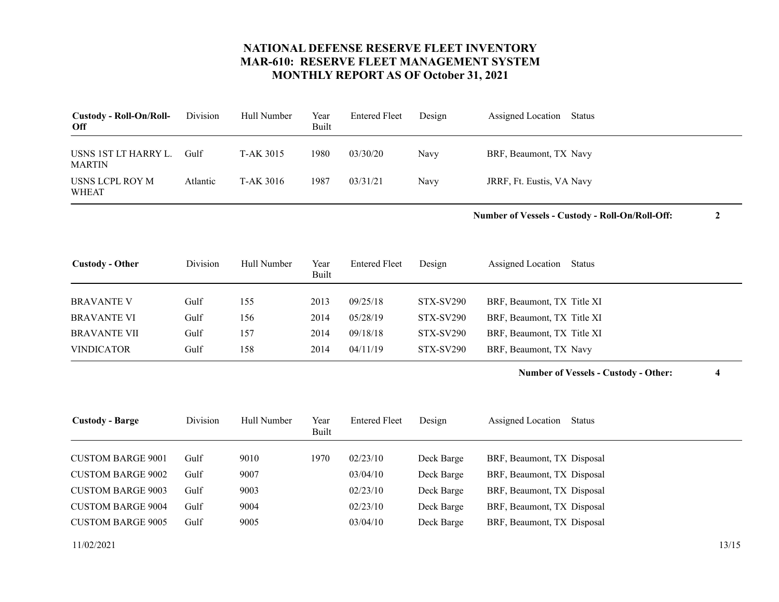<span id="page-12-9"></span><span id="page-12-8"></span>

| <b>Custody - Roll-On/Roll-</b><br>Off | Division | Hull Number | Year<br>Built | <b>Entered Fleet</b> | Design | Assigned Location<br>Status |
|---------------------------------------|----------|-------------|---------------|----------------------|--------|-----------------------------|
| USNS 1ST LT HARRY L.<br><b>MARTIN</b> | Gulf     | T-AK 3015   | 1980          | 03/30/20             | Navy   | BRF, Beaumont, TX Navy      |
| USNS LCPL ROY M<br><b>WHEAT</b>       | Atlantic | T-AK 3016   | 1987          | 03/31/21             | Navy   | JRRF, Ft. Eustis, VA Navy   |

**Number of Vessels - Custody - Roll-On/Roll-Off: 2**

<span id="page-12-2"></span><span id="page-12-1"></span><span id="page-12-0"></span>

| <b>Custody - Other</b> | Division | Hull Number | Year<br>Built | Entered Fleet | Design    | Assigned Location<br>Status |
|------------------------|----------|-------------|---------------|---------------|-----------|-----------------------------|
| <b>BRAVANTE V</b>      | Gulf     | 155         | 2013          | 09/25/18      | STX-SV290 | BRF, Beaumont, TX Title XI  |
| <b>BRAVANTE VI</b>     | Gulf     | 156         | 2014          | 05/28/19      | STX-SV290 | BRF, Beaumont, TX Title XI  |
| <b>BRAVANTE VII</b>    | Gulf     | 157         | 2014          | 09/18/18      | STX-SV290 | BRF, Beaumont, TX Title XI  |
| <b>VINDICATOR</b>      | Gulf     | 158         | 2014          | 04/11/19      | STX-SV290 | BRF, Beaumont, TX Navy      |

**Number of Vessels - Custody - Other: 4**

<span id="page-12-10"></span><span id="page-12-7"></span><span id="page-12-6"></span><span id="page-12-5"></span><span id="page-12-4"></span><span id="page-12-3"></span>

| <b>Custody - Barge</b>   | Division | Hull Number | Year<br>Built | <b>Entered Fleet</b> | Design     | Assigned Location<br>Status |
|--------------------------|----------|-------------|---------------|----------------------|------------|-----------------------------|
|                          |          |             |               |                      |            |                             |
| <b>CUSTOM BARGE 9001</b> | Gulf     | 9010        | 1970          | 02/23/10             | Deck Barge | BRF, Beaumont, TX Disposal  |
| <b>CUSTOM BARGE 9002</b> | Gulf     | 9007        |               | 03/04/10             | Deck Barge | BRF, Beaumont, TX Disposal  |
| <b>CUSTOM BARGE 9003</b> | Gulf     | 9003        |               | 02/23/10             | Deck Barge | BRF, Beaumont, TX Disposal  |
| <b>CUSTOM BARGE 9004</b> | Gulf     | 9004        |               | 02/23/10             | Deck Barge | BRF, Beaumont, TX Disposal  |
| <b>CUSTOM BARGE 9005</b> | Gulf     | 9005        |               | 03/04/10             | Deck Barge | BRF, Beaumont, TX Disposal  |
|                          |          |             |               |                      |            |                             |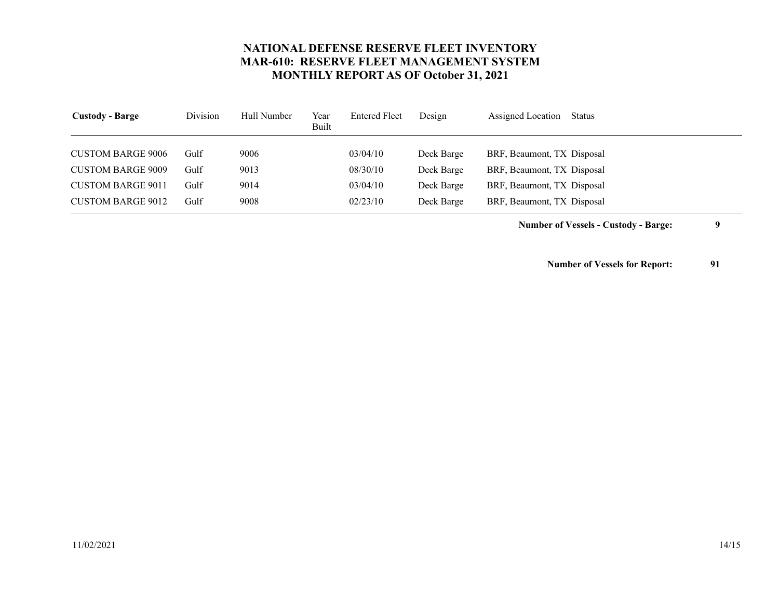<span id="page-13-3"></span><span id="page-13-2"></span><span id="page-13-1"></span><span id="page-13-0"></span>

| <b>Custody - Barge</b>   | Division | Hull Number | Year<br>Built | <b>Entered Fleet</b> | Design     | Assigned Location<br>Status |
|--------------------------|----------|-------------|---------------|----------------------|------------|-----------------------------|
| <b>CUSTOM BARGE 9006</b> | Gulf     | 9006        |               | 03/04/10             | Deck Barge | BRF, Beaumont, TX Disposal  |
| <b>CUSTOM BARGE 9009</b> | Gulf     | 9013        |               | 08/30/10             | Deck Barge | BRF, Beaumont, TX Disposal  |
| <b>CUSTOM BARGE 9011</b> | Gulf     | 9014        |               | 03/04/10             | Deck Barge | BRF, Beaumont, TX Disposal  |
| <b>CUSTOM BARGE 9012</b> | Gulf     | 9008        |               | 02/23/10             | Deck Barge | BRF, Beaumont, TX Disposal  |

**Number of Vessels - Custody - Barge: 9**

**Number of Vessels for Report: 91**